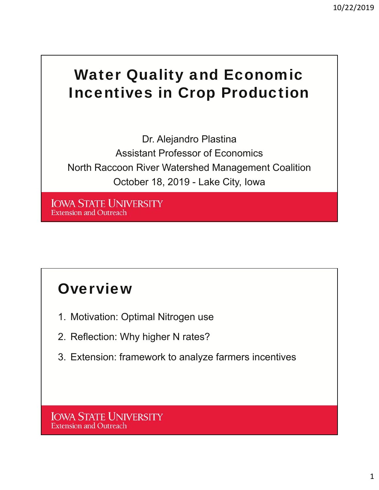## Water Quality and Economic Incentives in Crop Production

Dr. Alejandro Plastina Assistant Professor of Economics North Raccoon River Watershed Management Coalition October 18, 2019 - Lake City, Iowa

**IOWA STATE UNIVERSITY Extension and Outreach** 

### **Overview**

- 1. Motivation: Optimal Nitrogen use
- 2. Reflection: Why higher N rates?
- 3. Extension: framework to analyze farmers incentives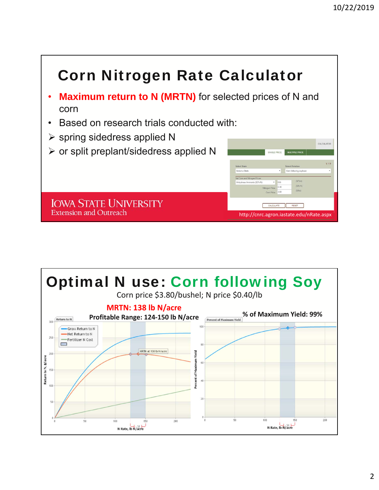

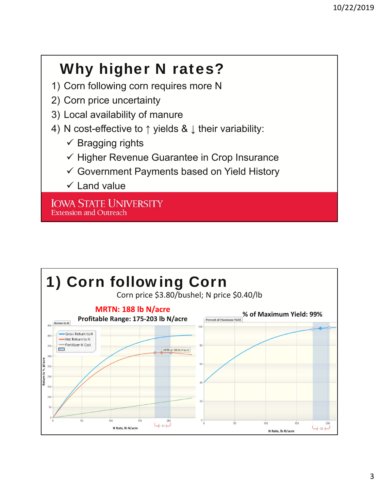# Why higher N rates?

- 1) Corn following corn requires more N
- 2) Corn price uncertainty
- 3) Local availability of manure
- 4) N cost-effective to ↑ yields & ↓ their variability:
	- $\checkmark$  Bragging rights
	- $\checkmark$  Higher Revenue Guarantee in Crop Insurance
	- Government Payments based on Yield History
	- $\checkmark$  Land value

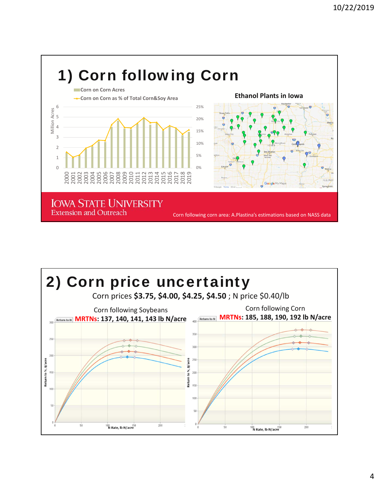

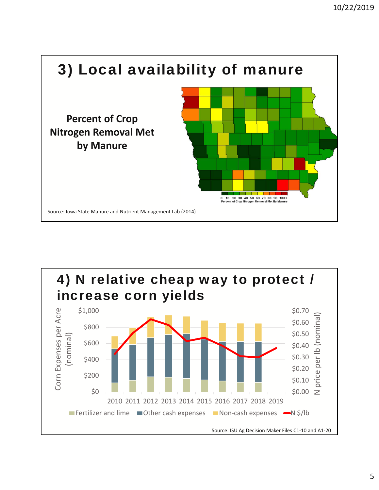

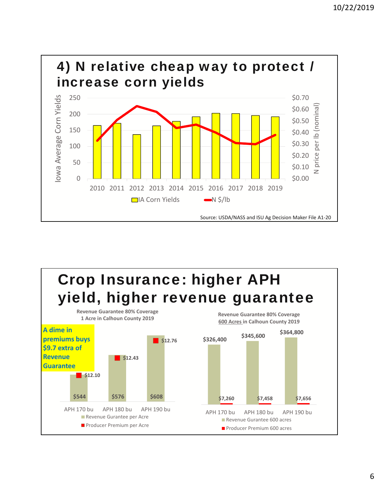

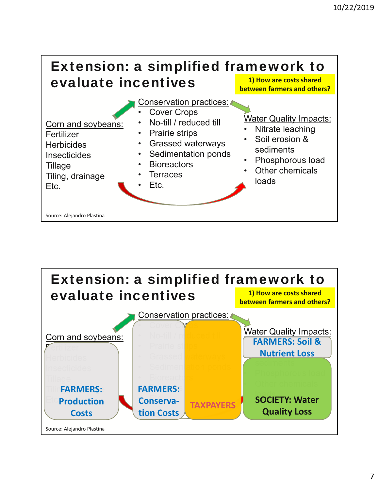

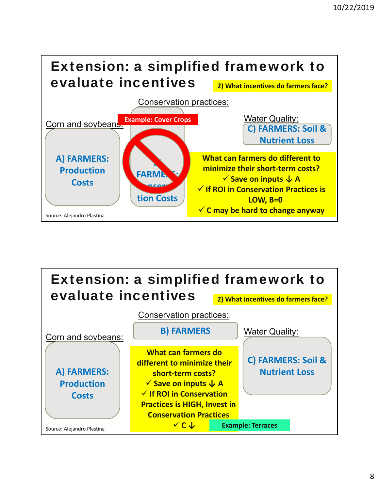

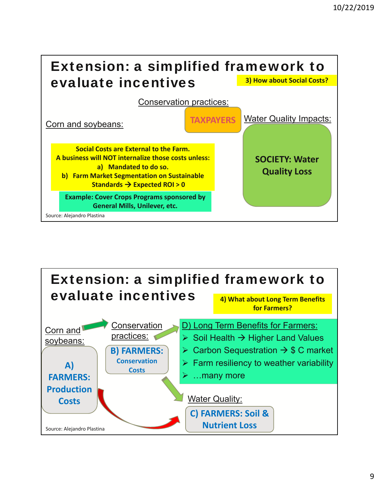

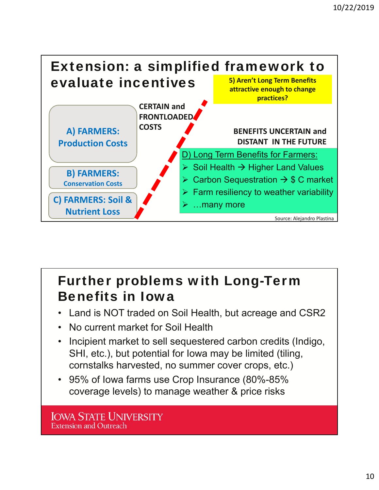

### Further problems with Long-Term Benefits in Iowa

- Land is NOT traded on Soil Health, but acreage and CSR2
- No current market for Soil Health
- Incipient market to sell sequestered carbon credits (Indigo, SHI, etc.), but potential for Iowa may be limited (tiling, cornstalks harvested, no summer cover crops, etc.)
- 95% of Iowa farms use Crop Insurance (80%-85% coverage levels) to manage weather & price risks